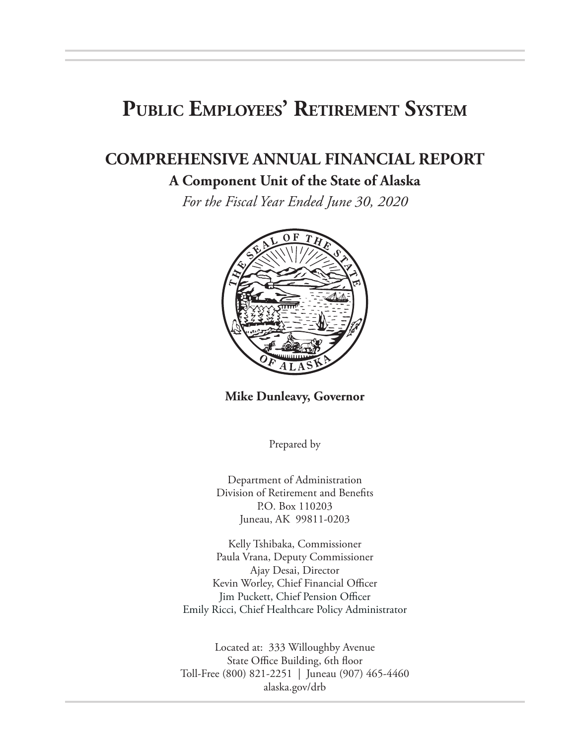# **Public Employees' Retirement System**

# **COMPREHENSIVE ANNUAL FINANCIAL REPORT**

#### **A Component Unit of the State of Alaska**

*For the Fiscal Year Ended June 30, 2020*



**Mike Dunleavy, Governor**

Prepared by

Department of Administration Division of Retirement and Benefits P.O. Box 110203 Juneau, AK 99811-0203

Kelly Tshibaka, Commissioner Paula Vrana, Deputy Commissioner Ajay Desai, Director Kevin Worley, Chief Financial Officer Jim Puckett, Chief Pension Officer Emily Ricci, Chief Healthcare Policy Administrator

Located at: 333 Willoughby Avenue State Office Building, 6th floor Toll-Free (800) 821-2251 | Juneau (907) 465-4460 alaska.gov/drb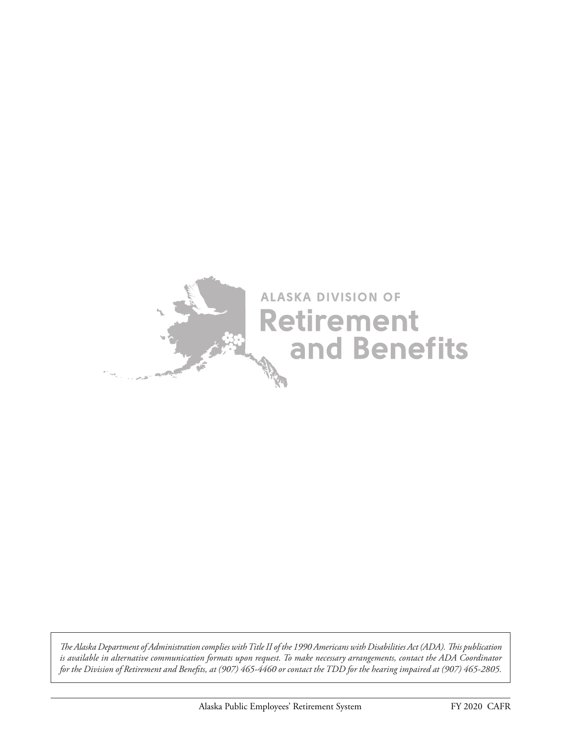

*The Alaska Department of Administration complies with Title II of the 1990 Americans with Disabilities Act (ADA). This publication is available in alternative communication formats upon request. To make necessary arrangements, contact the ADA Coordinator for the Division of Retirement and Benefits, at (907) 465-4460 or contact the TDD for the hearing impaired at (907) 465-2805.*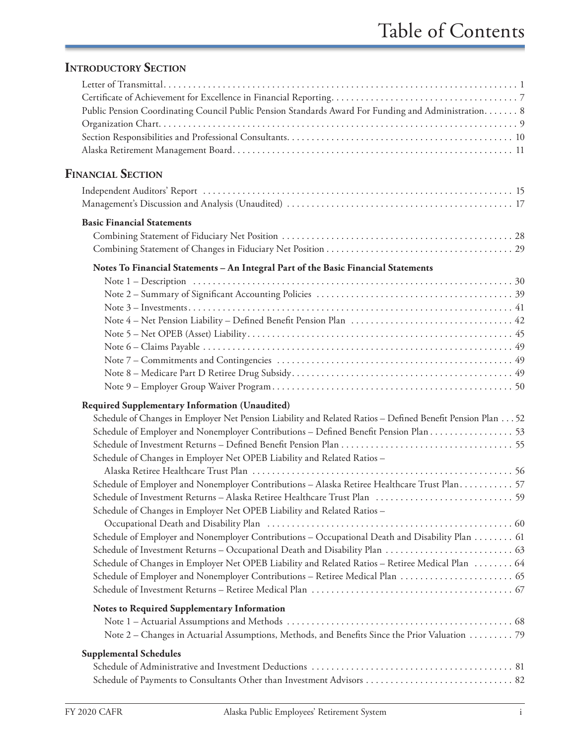#### **INTRODUCTORY SECTION**

| Public Pension Coordinating Council Public Pension Standards Award For Funding and Administration. 8           |  |
|----------------------------------------------------------------------------------------------------------------|--|
|                                                                                                                |  |
|                                                                                                                |  |
|                                                                                                                |  |
| <b>FINANCIAL SECTION</b>                                                                                       |  |
| Independent Auditors' Report (and according to the control of the control of the control of the control of the |  |
| <b>Basic Financial Statements</b>                                                                              |  |
|                                                                                                                |  |
|                                                                                                                |  |
| Notes To Financial Statements - An Integral Part of the Basic Financial Statements                             |  |
|                                                                                                                |  |
|                                                                                                                |  |
|                                                                                                                |  |
|                                                                                                                |  |
|                                                                                                                |  |
|                                                                                                                |  |
|                                                                                                                |  |
|                                                                                                                |  |
| Required Supplementary Information (Unaudited)                                                                 |  |
| Schedule of Changes in Employer Net Pension Liability and Related Ratios - Defined Benefit Pension Plan 52     |  |
| Schedule of Employer and Nonemployer Contributions - Defined Benefit Pension Plan 53                           |  |
|                                                                                                                |  |
| Schedule of Changes in Employer Net OPEB Liability and Related Ratios -                                        |  |
|                                                                                                                |  |
| Schedule of Employer and Nonemployer Contributions - Alaska Retiree Healthcare Trust Plan 57                   |  |
| Schedule of Changes in Employer Net OPEB Liability and Related Ratios -                                        |  |
|                                                                                                                |  |
| Schedule of Employer and Nonemployer Contributions - Occupational Death and Disability Plan 61                 |  |
|                                                                                                                |  |
| Schedule of Changes in Employer Net OPEB Liability and Related Ratios - Retiree Medical Plan  64               |  |
| Schedule of Employer and Nonemployer Contributions - Retiree Medical Plan  65                                  |  |
|                                                                                                                |  |
| <b>Notes to Required Supplementary Information</b>                                                             |  |
|                                                                                                                |  |
| Note 2 - Changes in Actuarial Assumptions, Methods, and Benefits Since the Prior Valuation  79                 |  |
| <b>Supplemental Schedules</b>                                                                                  |  |
|                                                                                                                |  |
|                                                                                                                |  |